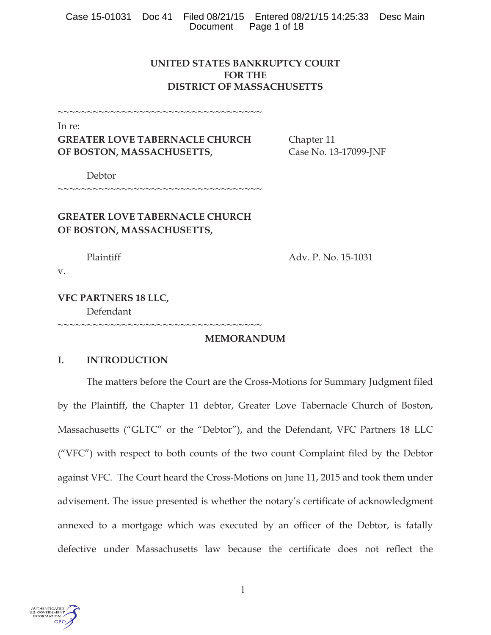## **UNITED STATES BANKRUPTCY COURT FOR THE DISTRICT OF MASSACHUSETTS**

~~~~~~~~~~~~~~~~~~~~~~~~~~~~~~~~~~~

In re:

# **GREATER LOVE TABERNACLE CHURCH** Chapter 11 **OF BOSTON, MASSACHUSETTS, Case No. 13-17099-JNF**

Debtor

~~~~~~~~~~~~~~~~~~~~~~~~~~~~~~~~~~~~

# **GREATER LOVE TABERNACLE CHURCH OF BOSTON, MASSACHUSETTS,**

~~~~~~~~~~~~~~~~~~~~~~~~~~~~~~~~~~~

Plaintiff Adv. P. No. 15-1031

v.

## **VFC PARTNERS 18 LLC,**  Defendant

**MEMORANDUM** 

## **I. INTRODUCTION**

The matters before the Court are the Cross-Motions for Summary Judgment filed by the Plaintiff, the Chapter 11 debtor, Greater Love Tabernacle Church of Boston, Massachusetts ("GLTC" or the "Debtor"), and the Defendant, VFC Partners 18 LLC ("VFC") with respect to both counts of the two count Complaint filed by the Debtor against VFC. The Court heard the Cross-Motions on June 11, 2015 and took them under advisement. The issue presented is whether the notary's certificate of acknowledgment annexed to a mortgage which was executed by an officer of the Debtor, is fatally defective under Massachusetts law because the certificate does not reflect the

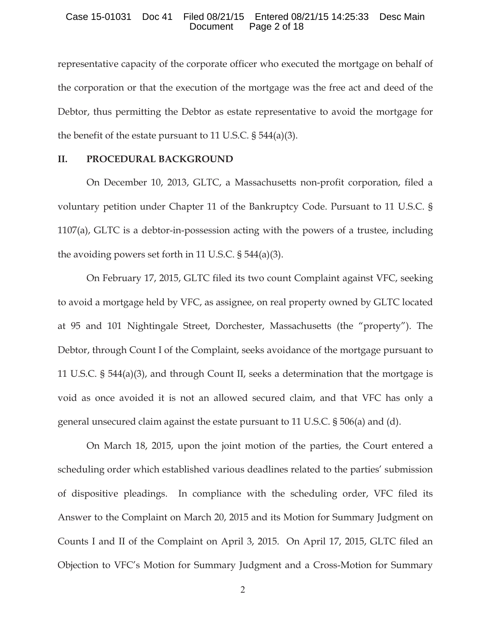#### Case 15-01031 Doc 41 Filed 08/21/15 Entered 08/21/15 14:25:33 Desc Main Page 2 of 18

representative capacity of the corporate officer who executed the mortgage on behalf of the corporation or that the execution of the mortgage was the free act and deed of the Debtor, thus permitting the Debtor as estate representative to avoid the mortgage for the benefit of the estate pursuant to 11 U.S.C. § 544(a)(3).

## **II. PROCEDURAL BACKGROUND**

On December 10, 2013, GLTC, a Massachusetts non-profit corporation, filed a voluntary petition under Chapter 11 of the Bankruptcy Code. Pursuant to 11 U.S.C. § 1107(a), GLTC is a debtor-in-possession acting with the powers of a trustee, including the avoiding powers set forth in 11 U.S.C. § 544(a)(3).

On February 17, 2015, GLTC filed its two count Complaint against VFC, seeking to avoid a mortgage held by VFC, as assignee, on real property owned by GLTC located at 95 and 101 Nightingale Street, Dorchester, Massachusetts (the "property"). The Debtor, through Count I of the Complaint, seeks avoidance of the mortgage pursuant to 11 U.S.C. § 544(a)(3), and through Count II, seeks a determination that the mortgage is void as once avoided it is not an allowed secured claim, and that VFC has only a general unsecured claim against the estate pursuant to 11 U.S.C. § 506(a) and (d).

On March 18, 2015, upon the joint motion of the parties, the Court entered a scheduling order which established various deadlines related to the parties' submission of dispositive pleadings. In compliance with the scheduling order, VFC filed its Answer to the Complaint on March 20, 2015 and its Motion for Summary Judgment on Counts I and II of the Complaint on April 3, 2015. On April 17, 2015, GLTC filed an Objection to VFC's Motion for Summary Judgment and a Cross-Motion for Summary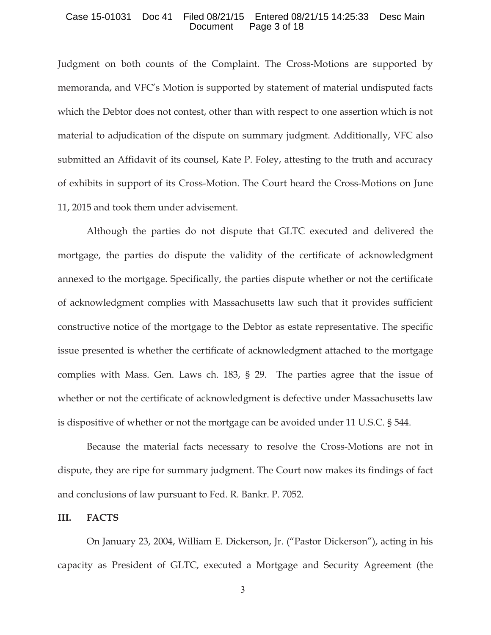#### Case 15-01031 Doc 41 Filed 08/21/15 Entered 08/21/15 14:25:33 Desc Main Document Page 3 of 18

Judgment on both counts of the Complaint. The Cross-Motions are supported by memoranda, and VFC's Motion is supported by statement of material undisputed facts which the Debtor does not contest, other than with respect to one assertion which is not material to adjudication of the dispute on summary judgment. Additionally, VFC also submitted an Affidavit of its counsel, Kate P. Foley, attesting to the truth and accuracy of exhibits in support of its Cross-Motion. The Court heard the Cross-Motions on June 11, 2015 and took them under advisement.

Although the parties do not dispute that GLTC executed and delivered the mortgage, the parties do dispute the validity of the certificate of acknowledgment annexed to the mortgage. Specifically, the parties dispute whether or not the certificate of acknowledgment complies with Massachusetts law such that it provides sufficient constructive notice of the mortgage to the Debtor as estate representative. The specific issue presented is whether the certificate of acknowledgment attached to the mortgage complies with Mass. Gen. Laws ch. 183, § 29. The parties agree that the issue of whether or not the certificate of acknowledgment is defective under Massachusetts law is dispositive of whether or not the mortgage can be avoided under 11 U.S.C. § 544.

Because the material facts necessary to resolve the Cross-Motions are not in dispute, they are ripe for summary judgment. The Court now makes its findings of fact and conclusions of law pursuant to Fed. R. Bankr. P. 7052.

### **III. FACTS**

On January 23, 2004, William E. Dickerson, Jr. ("Pastor Dickerson"), acting in his capacity as President of GLTC, executed a Mortgage and Security Agreement (the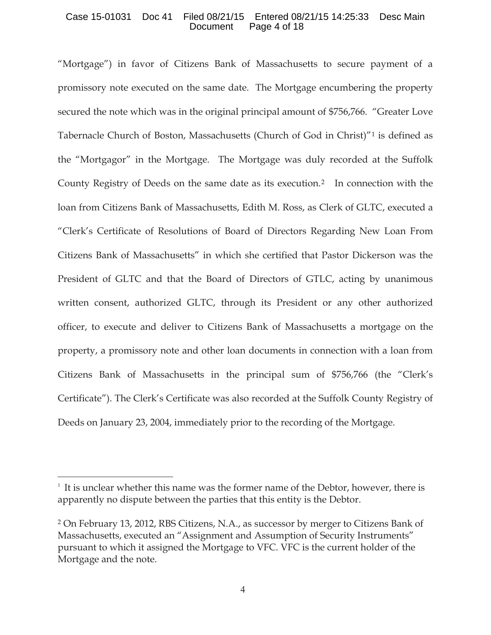#### Case 15-01031 Doc 41 Filed 08/21/15 Entered 08/21/15 14:25:33 Desc Main Document Page 4 of 18

"Mortgage") in favor of Citizens Bank of Massachusetts to secure payment of a promissory note executed on the same date. The Mortgage encumbering the property secured the note which was in the original principal amount of \$756,766. "Greater Love Tabernacle Church of Boston, Massachusetts (Church of God in Christ)"1 is defined as the "Mortgagor" in the Mortgage. The Mortgage was duly recorded at the Suffolk County Registry of Deeds on the same date as its execution.2 In connection with the loan from Citizens Bank of Massachusetts, Edith M. Ross, as Clerk of GLTC, executed a "Clerk's Certificate of Resolutions of Board of Directors Regarding New Loan From Citizens Bank of Massachusetts" in which she certified that Pastor Dickerson was the President of GLTC and that the Board of Directors of GTLC, acting by unanimous written consent, authorized GLTC, through its President or any other authorized officer, to execute and deliver to Citizens Bank of Massachusetts a mortgage on the property, a promissory note and other loan documents in connection with a loan from Citizens Bank of Massachusetts in the principal sum of \$756,766 (the "Clerk's Certificate"). The Clerk's Certificate was also recorded at the Suffolk County Registry of Deeds on January 23, 2004, immediately prior to the recording of the Mortgage.

 $1$  It is unclear whether this name was the former name of the Debtor, however, there is apparently no dispute between the parties that this entity is the Debtor.

<sup>2</sup> On February 13, 2012, RBS Citizens, N.A., as successor by merger to Citizens Bank of Massachusetts, executed an "Assignment and Assumption of Security Instruments" pursuant to which it assigned the Mortgage to VFC. VFC is the current holder of the Mortgage and the note.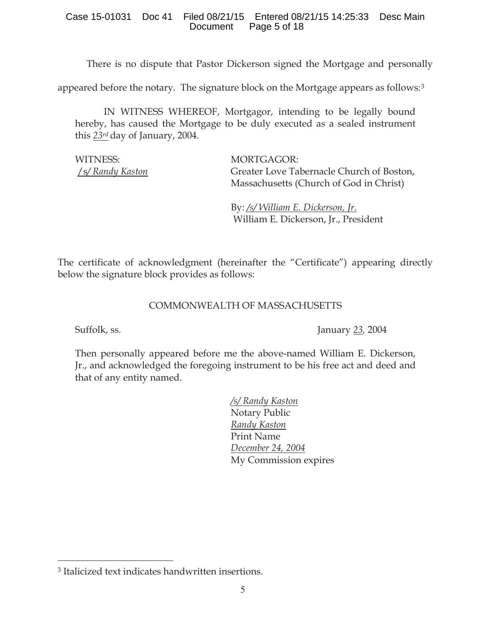There is no dispute that Pastor Dickerson signed the Mortgage and personally

appeared before the notary. The signature block on the Mortgage appears as follows:3

IN WITNESS WHEREOF, Mortgagor, intending to be legally bound hereby, has caused the Mortgage to be duly executed as a sealed instrument this *23rd* day of January, 2004.

WITNESS: MORTGAGOR:

/s*/ Randy Kaston* Greater Love Tabernacle Church of Boston, Massachusetts (Church of God in Christ)

> By: */s/ William E. Dickerson, Jr*. William E. Dickerson, Jr., President

The certificate of acknowledgment (hereinafter the "Certificate") appearing directly below the signature block provides as follows:

## COMMONWEALTH OF MASSACHUSETTS

Suffolk, ss. January *23,* 2004

Then personally appeared before me the above-named William E. Dickerson, Jr., and acknowledged the foregoing instrument to be his free act and deed and that of any entity named.

> */s/ Randy Kaston*  Notary Public *Randy Kaston*  Print Name *December 24, 2004*  My Commission expires

<sup>3</sup> Italicized text indicates handwritten insertions.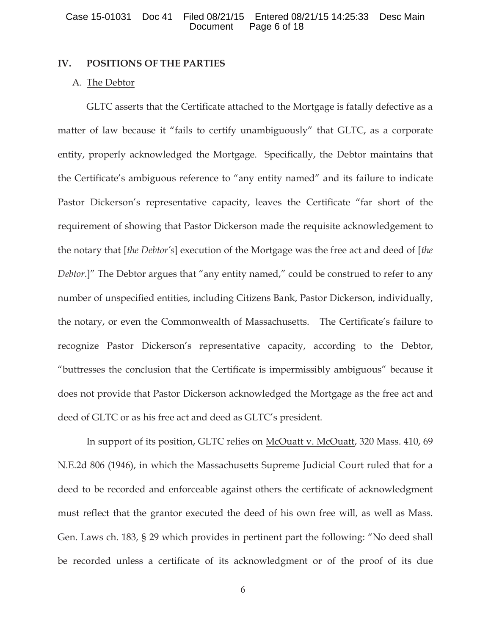## **IV. POSITIONS OF THE PARTIES**

#### A. The Debtor

GLTC asserts that the Certificate attached to the Mortgage is fatally defective as a matter of law because it "fails to certify unambiguously" that GLTC, as a corporate entity, properly acknowledged the Mortgage. Specifically, the Debtor maintains that the Certificate's ambiguous reference to "any entity named" and its failure to indicate Pastor Dickerson's representative capacity, leaves the Certificate "far short of the requirement of showing that Pastor Dickerson made the requisite acknowledgement to the notary that [*the Debtor's*] execution of the Mortgage was the free act and deed of [*the Debtor*.]" The Debtor argues that "any entity named," could be construed to refer to any number of unspecified entities, including Citizens Bank, Pastor Dickerson, individually, the notary, or even the Commonwealth of Massachusetts. The Certificate's failure to recognize Pastor Dickerson's representative capacity, according to the Debtor, "buttresses the conclusion that the Certificate is impermissibly ambiguous" because it does not provide that Pastor Dickerson acknowledged the Mortgage as the free act and deed of GLTC or as his free act and deed as GLTC's president.

In support of its position, GLTC relies on McOuatt v. McOuatt, 320 Mass. 410, 69 N.E.2d 806 (1946), in which the Massachusetts Supreme Judicial Court ruled that for a deed to be recorded and enforceable against others the certificate of acknowledgment must reflect that the grantor executed the deed of his own free will, as well as Mass. Gen. Laws ch. 183, § 29 which provides in pertinent part the following: "No deed shall be recorded unless a certificate of its acknowledgment or of the proof of its due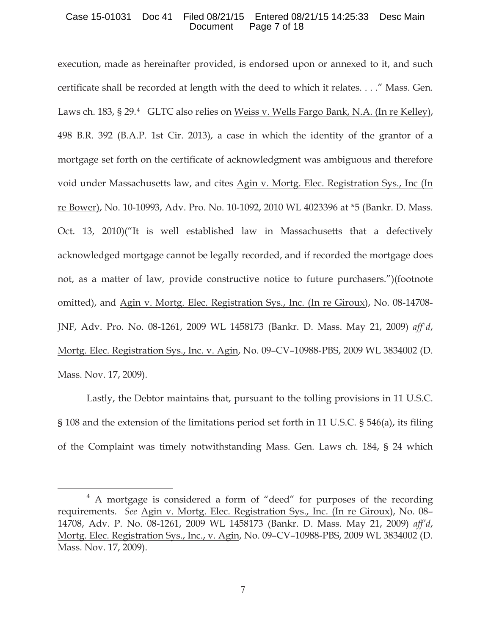### Case 15-01031 Doc 41 Filed 08/21/15 Entered 08/21/15 14:25:33 Desc Main Page 7 of 18

execution, made as hereinafter provided, is endorsed upon or annexed to it, and such certificate shall be recorded at length with the deed to which it relates. . . ." Mass. Gen. Laws ch. 183, § 29.4 GLTC also relies on Weiss v. Wells Fargo Bank, N.A. (In re Kelley), 498 B.R. 392 (B.A.P. 1st Cir. 2013), a case in which the identity of the grantor of a mortgage set forth on the certificate of acknowledgment was ambiguous and therefore void under Massachusetts law, and cites Agin v. Mortg. Elec. Registration Sys., Inc (In re Bower), No. 10-10993, Adv. Pro. No. 10-1092, 2010 WL 4023396 at \*5 (Bankr. D. Mass. Oct. 13, 2010)("It is well established law in Massachusetts that a defectively acknowledged mortgage cannot be legally recorded, and if recorded the mortgage does not, as a matter of law, provide constructive notice to future purchasers.")(footnote omitted), and Agin v. Mortg. Elec. Registration Sys., Inc. (In re Giroux), No. 08-14708- JNF, Adv. Pro. No. 08-1261, 2009 WL 1458173 (Bankr. D. Mass. May 21, 2009) *aff'd*, Mortg. Elec. Registration Sys., Inc. v. Agin, No. 09–CV–10988-PBS, 2009 WL 3834002 (D. Mass. Nov. 17, 2009).

Lastly, the Debtor maintains that, pursuant to the tolling provisions in 11 U.S.C. § 108 and the extension of the limitations period set forth in 11 U.S.C. § 546(a), its filing of the Complaint was timely notwithstanding Mass. Gen. Laws ch. 184, § 24 which

<sup>4</sup> A mortgage is considered a form of "deed" for purposes of the recording requirements. *See* Agin v. Mortg. Elec. Registration Sys., Inc. (In re Giroux), No. 08– 14708, Adv. P. No. 08-1261, 2009 WL 1458173 (Bankr. D. Mass. May 21, 2009) *aff'd*, Mortg. Elec. Registration Sys., Inc., v. Agin, No. 09–CV–10988-PBS, 2009 WL 3834002 (D. Mass. Nov. 17, 2009).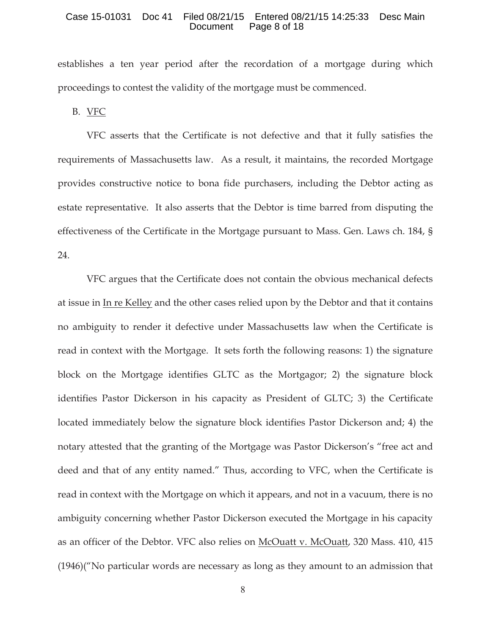#### Case 15-01031 Doc 41 Filed 08/21/15 Entered 08/21/15 14:25:33 Desc Main Page 8 of 18

establishes a ten year period after the recordation of a mortgage during which proceedings to contest the validity of the mortgage must be commenced.

B. VFC

VFC asserts that the Certificate is not defective and that it fully satisfies the requirements of Massachusetts law. As a result, it maintains, the recorded Mortgage provides constructive notice to bona fide purchasers, including the Debtor acting as estate representative. It also asserts that the Debtor is time barred from disputing the effectiveness of the Certificate in the Mortgage pursuant to Mass. Gen. Laws ch. 184, § 24.

VFC argues that the Certificate does not contain the obvious mechanical defects at issue in In re Kelley and the other cases relied upon by the Debtor and that it contains no ambiguity to render it defective under Massachusetts law when the Certificate is read in context with the Mortgage. It sets forth the following reasons: 1) the signature block on the Mortgage identifies GLTC as the Mortgagor; 2) the signature block identifies Pastor Dickerson in his capacity as President of GLTC; 3) the Certificate located immediately below the signature block identifies Pastor Dickerson and; 4) the notary attested that the granting of the Mortgage was Pastor Dickerson's "free act and deed and that of any entity named." Thus, according to VFC, when the Certificate is read in context with the Mortgage on which it appears, and not in a vacuum, there is no ambiguity concerning whether Pastor Dickerson executed the Mortgage in his capacity as an officer of the Debtor. VFC also relies on McOuatt v. McOuatt, 320 Mass. 410, 415 (1946)("No particular words are necessary as long as they amount to an admission that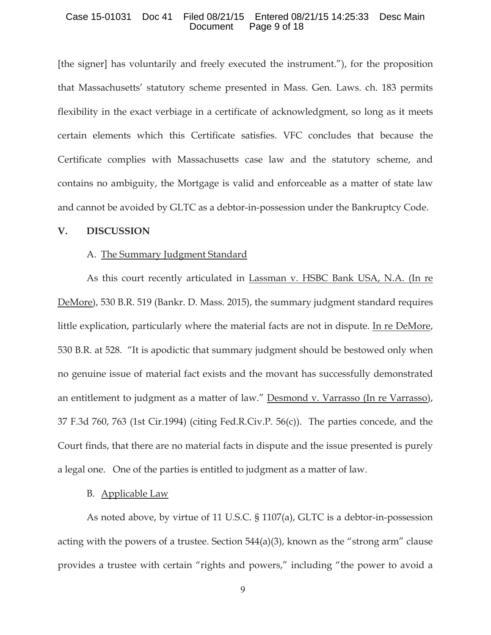#### Case 15-01031 Doc 41 Filed 08/21/15 Entered 08/21/15 14:25:33 Desc Main Page 9 of 18

[the signer] has voluntarily and freely executed the instrument."), for the proposition that Massachusetts' statutory scheme presented in Mass. Gen. Laws. ch. 183 permits flexibility in the exact verbiage in a certificate of acknowledgment, so long as it meets certain elements which this Certificate satisfies. VFC concludes that because the Certificate complies with Massachusetts case law and the statutory scheme, and contains no ambiguity, the Mortgage is valid and enforceable as a matter of state law and cannot be avoided by GLTC as a debtor-in-possession under the Bankruptcy Code.

#### **V. DISCUSSION**

#### A. The Summary Judgment Standard

As this court recently articulated in Lassman v. HSBC Bank USA, N.A. (In re DeMore), 530 B.R. 519 (Bankr. D. Mass. 2015), the summary judgment standard requires little explication, particularly where the material facts are not in dispute. In re DeMore, 530 B.R. at 528. "It is apodictic that summary judgment should be bestowed only when no genuine issue of material fact exists and the movant has successfully demonstrated an entitlement to judgment as a matter of law." Desmond v. Varrasso (In re Varrasso), 37 F.3d 760, 763 (1st Cir.1994) (citing Fed.R.Civ.P. 56(c)). The parties concede, and the Court finds, that there are no material facts in dispute and the issue presented is purely a legal one. One of the parties is entitled to judgment as a matter of law.

#### B. Applicable Law

As noted above, by virtue of 11 U.S.C. § 1107(a), GLTC is a debtor-in-possession acting with the powers of a trustee. Section 544(a)(3), known as the "strong arm" clause provides a trustee with certain "rights and powers," including "the power to avoid a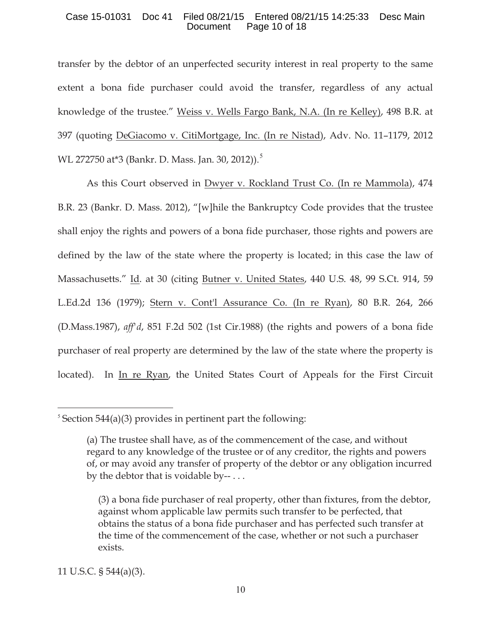## Case 15-01031 Doc 41 Filed 08/21/15 Entered 08/21/15 14:25:33 Desc Main Document Page 10 of 18

transfer by the debtor of an unperfected security interest in real property to the same extent a bona fide purchaser could avoid the transfer, regardless of any actual knowledge of the trustee." Weiss v. Wells Fargo Bank, N.A. (In re Kelley), 498 B.R. at 397 (quoting DeGiacomo v. CitiMortgage, Inc. (In re Nistad), Adv. No. 11–1179, 2012 WL 272750 at\*3 (Bankr. D. Mass. Jan. 30, 2012)).<sup>5</sup>

As this Court observed in Dwyer v. Rockland Trust Co. (In re Mammola), 474 B.R. 23 (Bankr. D. Mass. 2012), "[w]hile the Bankruptcy Code provides that the trustee shall enjoy the rights and powers of a bona fide purchaser, those rights and powers are defined by the law of the state where the property is located; in this case the law of Massachusetts." Id. at 30 (citing Butner v. United States, 440 U.S. 48, 99 S.Ct. 914, 59 L.Ed.2d 136 (1979); Stern v. Cont'l Assurance Co. (In re Ryan), 80 B.R. 264, 266 (D.Mass.1987), *aff'd*, 851 F.2d 502 (1st Cir.1988) (the rights and powers of a bona fide purchaser of real property are determined by the law of the state where the property is located). In In re Ryan, the United States Court of Appeals for the First Circuit

11 U.S.C. § 544(a)(3).

 $5$  Section 544(a)(3) provides in pertinent part the following:

<sup>(</sup>a) The trustee shall have, as of the commencement of the case, and without regard to any knowledge of the trustee or of any creditor, the rights and powers of, or may avoid any transfer of property of the debtor or any obligation incurred by the debtor that is voidable by-- . . .

<sup>(3)</sup> a bona fide purchaser of real property, other than fixtures, from the debtor, against whom applicable law permits such transfer to be perfected, that obtains the status of a bona fide purchaser and has perfected such transfer at the time of the commencement of the case, whether or not such a purchaser exists.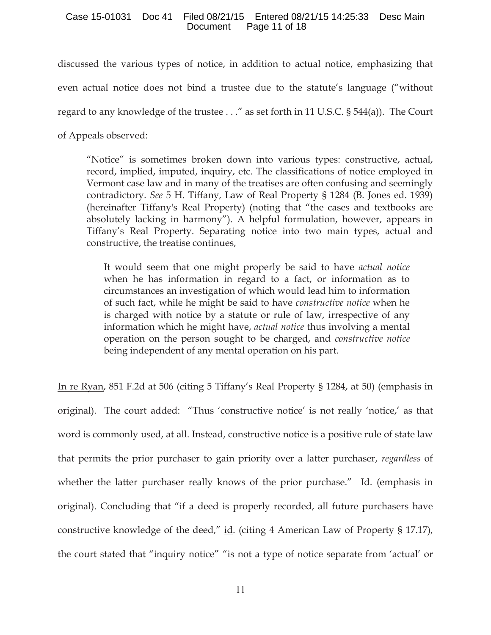## Case 15-01031 Doc 41 Filed 08/21/15 Entered 08/21/15 14:25:33 Desc Main Document Page 11 of 18

discussed the various types of notice, in addition to actual notice, emphasizing that even actual notice does not bind a trustee due to the statute's language ("without regard to any knowledge of the trustee . . ." as set forth in 11 U.S.C. § 544(a)). The Court of Appeals observed:

"Notice" is sometimes broken down into various types: constructive, actual, record, implied, imputed, inquiry, etc. The classifications of notice employed in Vermont case law and in many of the treatises are often confusing and seemingly contradictory. *See* 5 H. Tiffany, Law of Real Property § 1284 (B. Jones ed. 1939) (hereinafter Tiffany's Real Property) (noting that "the cases and textbooks are absolutely lacking in harmony"). A helpful formulation, however, appears in Tiffany's Real Property. Separating notice into two main types, actual and constructive, the treatise continues,

It would seem that one might properly be said to have *actual notice* when he has information in regard to a fact, or information as to circumstances an investigation of which would lead him to information of such fact, while he might be said to have *constructive notice* when he is charged with notice by a statute or rule of law, irrespective of any information which he might have, *actual notice* thus involving a mental operation on the person sought to be charged, and *constructive notice* being independent of any mental operation on his part.

In re Ryan, 851 F.2d at 506 (citing 5 Tiffany's Real Property § 1284, at 50) (emphasis in original). The court added: "Thus 'constructive notice' is not really 'notice,' as that word is commonly used, at all. Instead, constructive notice is a positive rule of state law that permits the prior purchaser to gain priority over a latter purchaser, *regardless* of whether the latter purchaser really knows of the prior purchase." Id. (emphasis in original). Concluding that "if a deed is properly recorded, all future purchasers have constructive knowledge of the deed," id. (citing 4 American Law of Property § 17.17), the court stated that "inquiry notice" "is not a type of notice separate from 'actual' or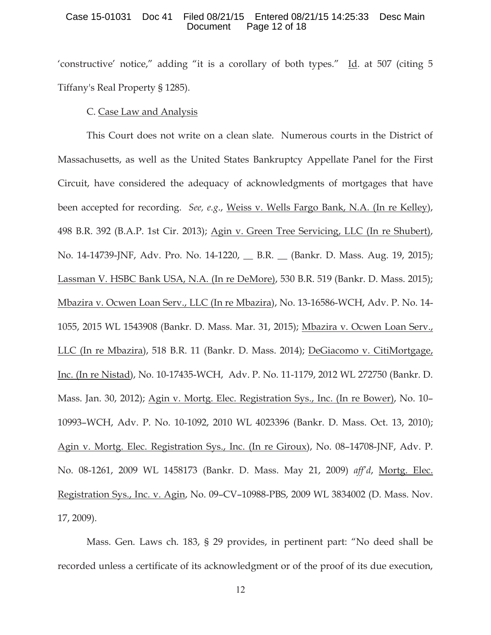#### Case 15-01031 Doc 41 Filed 08/21/15 Entered 08/21/15 14:25:33 Desc Main Page 12 of 18

'constructive' notice," adding "it is a corollary of both types." Id. at 507 (citing 5 Tiffany's Real Property § 1285).

## C. Case Law and Analysis

This Court does not write on a clean slate. Numerous courts in the District of Massachusetts, as well as the United States Bankruptcy Appellate Panel for the First Circuit, have considered the adequacy of acknowledgments of mortgages that have been accepted for recording. *See, e.g*., Weiss v. Wells Fargo Bank, N.A. (In re Kelley), 498 B.R. 392 (B.A.P. 1st Cir. 2013); Agin v. Green Tree Servicing, LLC (In re Shubert), No. 14-14739-JNF, Adv. Pro. No. 14-1220, \_\_ B.R. \_\_ (Bankr. D. Mass. Aug. 19, 2015); Lassman V. HSBC Bank USA, N.A. (In re DeMore), 530 B.R. 519 (Bankr. D. Mass. 2015); Mbazira v. Ocwen Loan Serv., LLC (In re Mbazira), No. 13-16586-WCH, Adv. P. No. 14- 1055, 2015 WL 1543908 (Bankr. D. Mass. Mar. 31, 2015); Mbazira v. Ocwen Loan Serv., LLC (In re Mbazira), 518 B.R. 11 (Bankr. D. Mass. 2014); DeGiacomo v. CitiMortgage, Inc. (In re Nistad), No. 10-17435-WCH, Adv. P. No. 11-1179, 2012 WL 272750 (Bankr. D. Mass. Jan. 30, 2012); Agin v. Mortg. Elec. Registration Sys., Inc. (In re Bower), No. 10– 10993–WCH, Adv. P. No. 10-1092, 2010 WL 4023396 (Bankr. D. Mass. Oct. 13, 2010); Agin v. Mortg. Elec. Registration Sys., Inc. (In re Giroux), No. 08–14708-JNF, Adv. P. No. 08-1261, 2009 WL 1458173 (Bankr. D. Mass. May 21, 2009) *aff'd*, Mortg. Elec. Registration Sys., Inc. v. Agin, No. 09–CV–10988-PBS, 2009 WL 3834002 (D. Mass. Nov. 17, 2009).

Mass. Gen. Laws ch. 183, § 29 provides, in pertinent part: "No deed shall be recorded unless a certificate of its acknowledgment or of the proof of its due execution,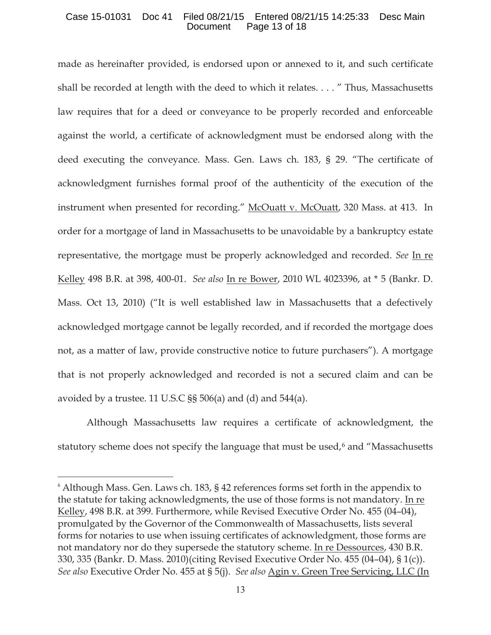### Case 15-01031 Doc 41 Filed 08/21/15 Entered 08/21/15 14:25:33 Desc Main Document Page 13 of 18

made as hereinafter provided, is endorsed upon or annexed to it, and such certificate shall be recorded at length with the deed to which it relates. . . . " Thus, Massachusetts law requires that for a deed or conveyance to be properly recorded and enforceable against the world, a certificate of acknowledgment must be endorsed along with the deed executing the conveyance. Mass. Gen. Laws ch. 183, § 29. "The certificate of acknowledgment furnishes formal proof of the authenticity of the execution of the instrument when presented for recording." McOuatt v. McOuatt, 320 Mass. at 413. In order for a mortgage of land in Massachusetts to be unavoidable by a bankruptcy estate representative, the mortgage must be properly acknowledged and recorded. *See* In re Kelley 498 B.R. at 398, 400-01. *See also* In re Bower, 2010 WL 4023396, at \* 5 (Bankr. D. Mass. Oct 13, 2010) ("It is well established law in Massachusetts that a defectively acknowledged mortgage cannot be legally recorded, and if recorded the mortgage does not, as a matter of law, provide constructive notice to future purchasers"). A mortgage that is not properly acknowledged and recorded is not a secured claim and can be avoided by a trustee. 11 U.S.C §§ 506(a) and (d) and 544(a).

Although Massachusetts law requires a certificate of acknowledgment, the statutory scheme does not specify the language that must be used,<sup>6</sup> and "Massachusetts

<sup>&</sup>lt;sup>6</sup> Although Mass. Gen. Laws ch. 183, § 42 references forms set forth in the appendix to the statute for taking acknowledgments, the use of those forms is not mandatory. In re Kelley, 498 B.R. at 399. Furthermore, while Revised Executive Order No. 455 (04–04), promulgated by the Governor of the Commonwealth of Massachusetts, lists several forms for notaries to use when issuing certificates of acknowledgment, those forms are not mandatory nor do they supersede the statutory scheme. In re Dessources, 430 B.R. 330, 335 (Bankr. D. Mass. 2010)(citing Revised Executive Order No. 455 (04–04), § 1(c)). *See also* Executive Order No. 455 at § 5(j). *See also* Agin v. Green Tree Servicing, LLC (In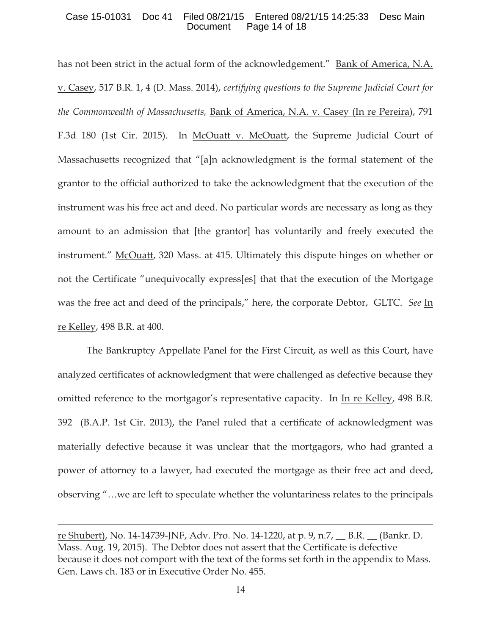### Case 15-01031 Doc 41 Filed 08/21/15 Entered 08/21/15 14:25:33 Desc Main Document Page 14 of 18

has not been strict in the actual form of the acknowledgement." Bank of America, N.A. v. Casey, 517 B.R. 1, 4 (D. Mass. 2014), *certifying questions to the Supreme Judicial Court for the Commonwealth of Massachusetts,* Bank of America, N.A. v. Casey (In re Pereira), 791 F.3d 180 (1st Cir. 2015). In McOuatt v. McOuatt, the Supreme Judicial Court of Massachusetts recognized that "[a]n acknowledgment is the formal statement of the grantor to the official authorized to take the acknowledgment that the execution of the instrument was his free act and deed. No particular words are necessary as long as they amount to an admission that [the grantor] has voluntarily and freely executed the instrument." McOuatt, 320 Mass. at 415. Ultimately this dispute hinges on whether or not the Certificate "unequivocally express[es] that that the execution of the Mortgage was the free act and deed of the principals," here, the corporate Debtor, GLTC. *See* In re Kelley, 498 B.R. at 400.

The Bankruptcy Appellate Panel for the First Circuit, as well as this Court, have analyzed certificates of acknowledgment that were challenged as defective because they omitted reference to the mortgagor's representative capacity. In In re Kelley, 498 B.R. 392 (B.A.P. 1st Cir. 2013), the Panel ruled that a certificate of acknowledgment was materially defective because it was unclear that the mortgagors, who had granted a power of attorney to a lawyer, had executed the mortgage as their free act and deed, observing "…we are left to speculate whether the voluntariness relates to the principals

re Shubert), No. 14-14739-JNF, Adv. Pro. No. 14-1220, at p. 9, n.7, \_\_ B.R. \_\_ (Bankr. D. Mass. Aug. 19, 2015). The Debtor does not assert that the Certificate is defective because it does not comport with the text of the forms set forth in the appendix to Mass. Gen. Laws ch. 183 or in Executive Order No. 455.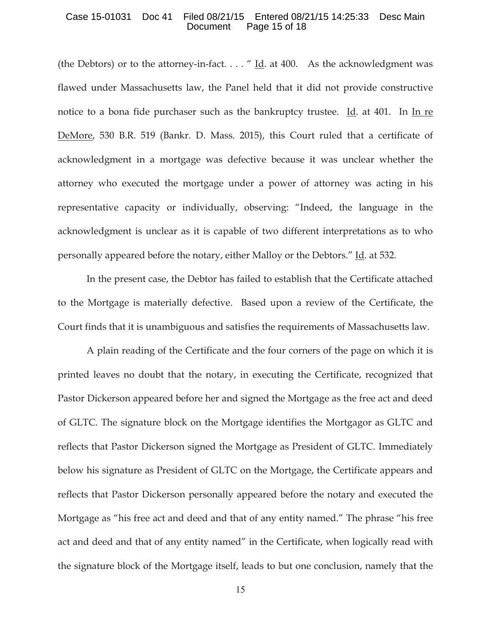#### Case 15-01031 Doc 41 Filed 08/21/15 Entered 08/21/15 14:25:33 Desc Main Page 15 of 18

(the Debtors) or to the attorney-in-fact.  $\dots$  " Id. at 400. As the acknowledgment was flawed under Massachusetts law, the Panel held that it did not provide constructive notice to a bona fide purchaser such as the bankruptcy trustee. Id. at 401. In In re DeMore, 530 B.R. 519 (Bankr. D. Mass. 2015), this Court ruled that a certificate of acknowledgment in a mortgage was defective because it was unclear whether the attorney who executed the mortgage under a power of attorney was acting in his representative capacity or individually, observing: "Indeed, the language in the acknowledgment is unclear as it is capable of two different interpretations as to who personally appeared before the notary, either Malloy or the Debtors." Id. at 532.

In the present case, the Debtor has failed to establish that the Certificate attached to the Mortgage is materially defective. Based upon a review of the Certificate, the Court finds that it is unambiguous and satisfies the requirements of Massachusetts law.

A plain reading of the Certificate and the four corners of the page on which it is printed leaves no doubt that the notary, in executing the Certificate, recognized that Pastor Dickerson appeared before her and signed the Mortgage as the free act and deed of GLTC. The signature block on the Mortgage identifies the Mortgagor as GLTC and reflects that Pastor Dickerson signed the Mortgage as President of GLTC. Immediately below his signature as President of GLTC on the Mortgage, the Certificate appears and reflects that Pastor Dickerson personally appeared before the notary and executed the Mortgage as "his free act and deed and that of any entity named." The phrase "his free act and deed and that of any entity named" in the Certificate, when logically read with the signature block of the Mortgage itself, leads to but one conclusion, namely that the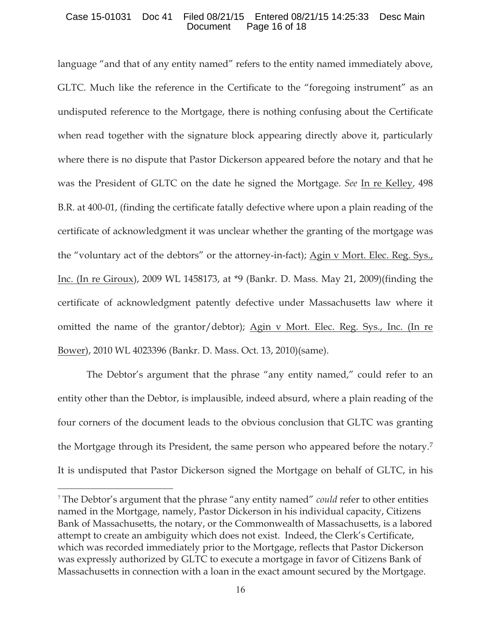## Case 15-01031 Doc 41 Filed 08/21/15 Entered 08/21/15 14:25:33 Desc Main Document Page 16 of 18

language "and that of any entity named" refers to the entity named immediately above, GLTC. Much like the reference in the Certificate to the "foregoing instrument" as an undisputed reference to the Mortgage, there is nothing confusing about the Certificate when read together with the signature block appearing directly above it, particularly where there is no dispute that Pastor Dickerson appeared before the notary and that he was the President of GLTC on the date he signed the Mortgage. *See* In re Kelley, 498 B.R. at 400-01, (finding the certificate fatally defective where upon a plain reading of the certificate of acknowledgment it was unclear whether the granting of the mortgage was the "voluntary act of the debtors" or the attorney-in-fact); Agin v Mort. Elec. Reg. Sys., Inc. (In re Giroux), 2009 WL 1458173, at \*9 (Bankr. D. Mass. May 21, 2009)(finding the certificate of acknowledgment patently defective under Massachusetts law where it omitted the name of the grantor/debtor); Agin v Mort. Elec. Reg. Sys., Inc. (In re Bower), 2010 WL 4023396 (Bankr. D. Mass. Oct. 13, 2010)(same).

The Debtor's argument that the phrase "any entity named," could refer to an entity other than the Debtor, is implausible, indeed absurd, where a plain reading of the four corners of the document leads to the obvious conclusion that GLTC was granting the Mortgage through its President, the same person who appeared before the notary.7 It is undisputed that Pastor Dickerson signed the Mortgage on behalf of GLTC, in his

<sup>7</sup> The Debtor's argument that the phrase "any entity named" *could* refer to other entities named in the Mortgage, namely, Pastor Dickerson in his individual capacity, Citizens Bank of Massachusetts, the notary, or the Commonwealth of Massachusetts, is a labored attempt to create an ambiguity which does not exist. Indeed, the Clerk's Certificate, which was recorded immediately prior to the Mortgage, reflects that Pastor Dickerson was expressly authorized by GLTC to execute a mortgage in favor of Citizens Bank of Massachusetts in connection with a loan in the exact amount secured by the Mortgage.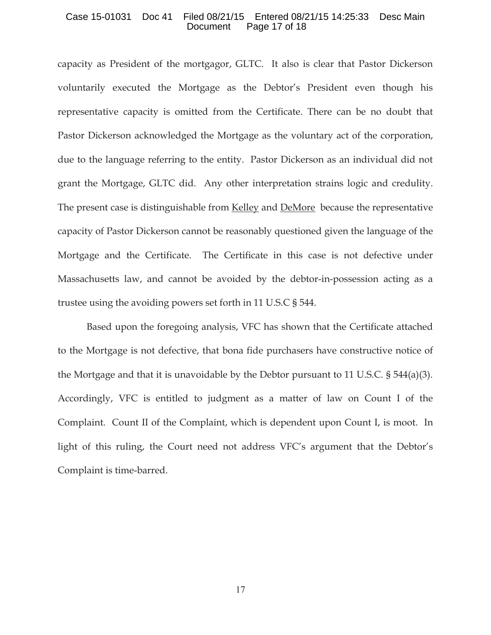#### Case 15-01031 Doc 41 Filed 08/21/15 Entered 08/21/15 14:25:33 Desc Main Document Page 17 of 18

capacity as President of the mortgagor, GLTC. It also is clear that Pastor Dickerson voluntarily executed the Mortgage as the Debtor's President even though his representative capacity is omitted from the Certificate. There can be no doubt that Pastor Dickerson acknowledged the Mortgage as the voluntary act of the corporation, due to the language referring to the entity. Pastor Dickerson as an individual did not grant the Mortgage, GLTC did. Any other interpretation strains logic and credulity. The present case is distinguishable from Kelley and DeMore because the representative capacity of Pastor Dickerson cannot be reasonably questioned given the language of the Mortgage and the Certificate. The Certificate in this case is not defective under Massachusetts law, and cannot be avoided by the debtor-in-possession acting as a trustee using the avoiding powers set forth in 11 U.S.C § 544.

Based upon the foregoing analysis, VFC has shown that the Certificate attached to the Mortgage is not defective, that bona fide purchasers have constructive notice of the Mortgage and that it is unavoidable by the Debtor pursuant to 11 U.S.C.  $\S$  544(a)(3). Accordingly, VFC is entitled to judgment as a matter of law on Count I of the Complaint. Count II of the Complaint, which is dependent upon Count I, is moot. In light of this ruling, the Court need not address VFC's argument that the Debtor's Complaint is time-barred.